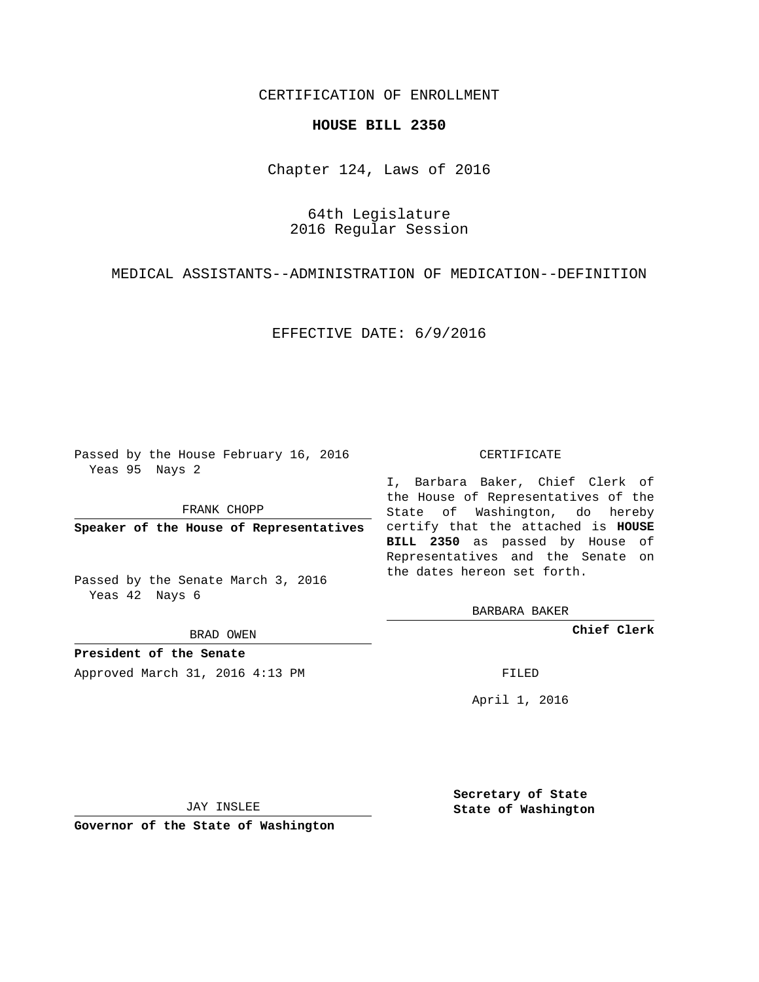## CERTIFICATION OF ENROLLMENT

## **HOUSE BILL 2350**

Chapter 124, Laws of 2016

64th Legislature 2016 Regular Session

MEDICAL ASSISTANTS--ADMINISTRATION OF MEDICATION--DEFINITION

EFFECTIVE DATE: 6/9/2016

Passed by the House February 16, 2016 Yeas 95 Nays 2

FRANK CHOPP

Passed by the Senate March 3, 2016 Yeas 42 Nays 6

BRAD OWEN

**President of the Senate**

Approved March 31, 2016 4:13 PM FILED

## CERTIFICATE

**Speaker of the House of Representatives** certify that the attached is **HOUSE** I, Barbara Baker, Chief Clerk of the House of Representatives of the State of Washington, do hereby **BILL 2350** as passed by House of Representatives and the Senate on the dates hereon set forth.

BARBARA BAKER

**Chief Clerk**

April 1, 2016

JAY INSLEE

**Governor of the State of Washington**

**Secretary of State State of Washington**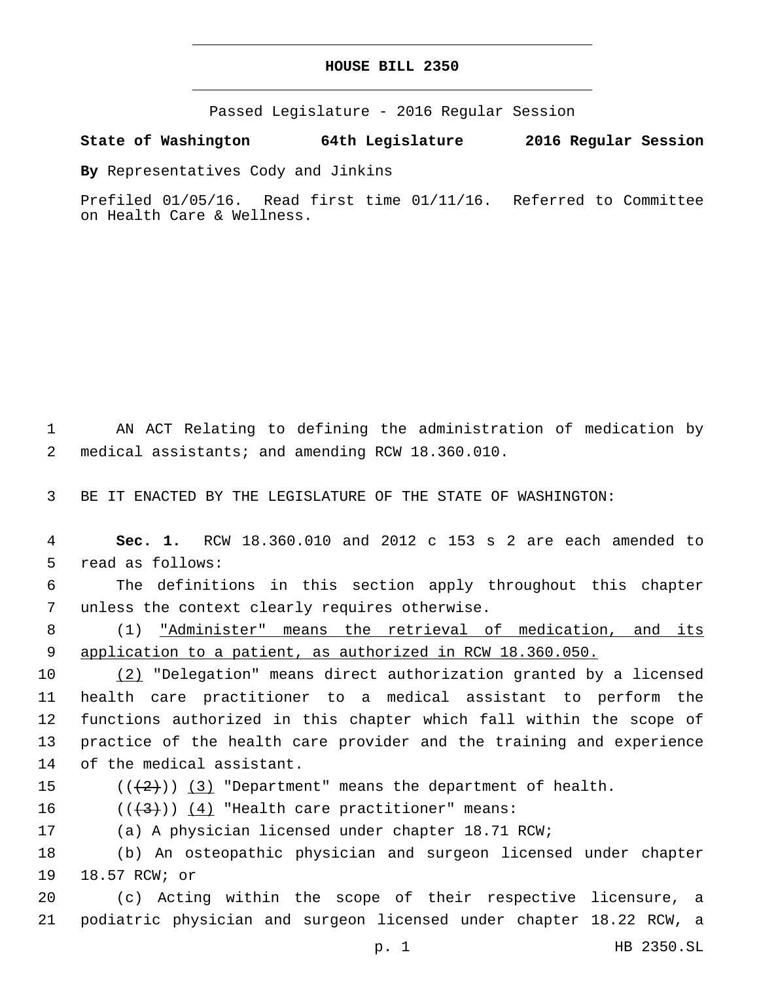Passed Legislature - 2016 Regular Session

**State of Washington 64th Legislature 2016 Regular Session**

**By** Representatives Cody and Jinkins

Prefiled 01/05/16. Read first time 01/11/16. Referred to Committee on Health Care & Wellness.

1 AN ACT Relating to defining the administration of medication by medical assistants; and amending RCW 18.360.010.2

3 BE IT ENACTED BY THE LEGISLATURE OF THE STATE OF WASHINGTON:

4 **Sec. 1.** RCW 18.360.010 and 2012 c 153 s 2 are each amended to 5 read as follows:

6 The definitions in this section apply throughout this chapter 7 unless the context clearly requires otherwise.

8 (1) "Administer" means the retrieval of medication, and its 9 application to a patient, as authorized in RCW 18.360.050.

 (2) "Delegation" means direct authorization granted by a licensed health care practitioner to a medical assistant to perform the functions authorized in this chapter which fall within the scope of practice of the health care provider and the training and experience 14 of the medical assistant.

15  $((+2)^{n})$   $(3)$  "Department" means the department of health.

16  $((+3)^{n})$   $(4)$  "Health care practitioner" means:

17 (a) A physician licensed under chapter 18.71 RCW;

18 (b) An osteopathic physician and surgeon licensed under chapter 19 18.57 RCW; or

20 (c) Acting within the scope of their respective licensure, a 21 podiatric physician and surgeon licensed under chapter 18.22 RCW, a